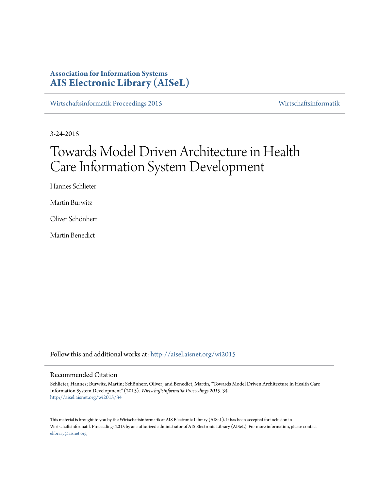# **Association for Information Systems [AIS Electronic Library \(AISeL\)](http://aisel.aisnet.org?utm_source=aisel.aisnet.org%2Fwi2015%2F34&utm_medium=PDF&utm_campaign=PDFCoverPages)**

[Wirtschaftsinformatik Proceedings 2015](http://aisel.aisnet.org/wi2015?utm_source=aisel.aisnet.org%2Fwi2015%2F34&utm_medium=PDF&utm_campaign=PDFCoverPages) [Wirtschaftsinformatik](http://aisel.aisnet.org/wi?utm_source=aisel.aisnet.org%2Fwi2015%2F34&utm_medium=PDF&utm_campaign=PDFCoverPages)

3-24-2015

# Towards Model Driven Architecture in Health Care Information System Development

Hannes Schlieter

Martin Burwitz

Oliver Schönherr

Martin Benedict

Follow this and additional works at: [http://aisel.aisnet.org/wi2015](http://aisel.aisnet.org/wi2015?utm_source=aisel.aisnet.org%2Fwi2015%2F34&utm_medium=PDF&utm_campaign=PDFCoverPages)

## Recommended Citation

Schlieter, Hannes; Burwitz, Martin; Schönherr, Oliver; and Benedict, Martin, "Towards Model Driven Architecture in Health Care Information System Development" (2015). *Wirtschaftsinformatik Proceedings 2015*. 34. [http://aisel.aisnet.org/wi2015/34](http://aisel.aisnet.org/wi2015/34?utm_source=aisel.aisnet.org%2Fwi2015%2F34&utm_medium=PDF&utm_campaign=PDFCoverPages)

This material is brought to you by the Wirtschaftsinformatik at AIS Electronic Library (AISeL). It has been accepted for inclusion in Wirtschaftsinformatik Proceedings 2015 by an authorized administrator of AIS Electronic Library (AISeL). For more information, please contact [elibrary@aisnet.org.](mailto:elibrary@aisnet.org%3E)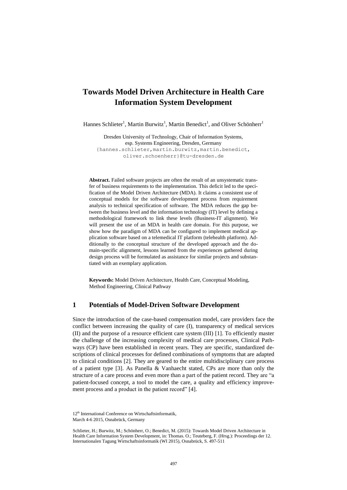# **Towards Model Driven Architecture in Health Care Information System Development**

Hannes Schlieter<sup>1</sup>, Martin Burwitz<sup>1</sup>, Martin Benedict<sup>1</sup>, and Oliver Schönherr<sup>1</sup>

Dresden University of Technology, Chair of Information Systems, esp. Systems Engineering, Dresden, Germany {hannes.schlieter,martin.burwitz,martin.benedict, oliver.schoenherr}@tu-dresden.de

**Abstract.** Failed software projects are often the result of an unsystematic transfer of business requirements to the implementation. This deficit led to the specification of the Model Driven Architecture (MDA). It claims a consistent use of conceptual models for the software development process from requirement analysis to technical specification of software. The MDA reduces the gap between the business level and the information technology (IT) level by defining a methodological framework to link these levels (Business-IT alignment). We will present the use of an MDA in health care domain. For this purpose, we show how the paradigm of MDA can be configured to implement medical application software based on a telemedical IT platform (telehealth platform). Additionally to the conceptual structure of the developed approach and the domain-specific alignment, lessons learned from the experiences gathered during design process will be formulated as assistance for similar projects and substantiated with an exemplary application.

**Keywords:** Model Driven Architecture, Health Care, Conceptual Modeling, Method Engineering, Clinical Pathway

## **1 Potentials of Model-Driven Software Development**

Since the introduction of the case-based compensation model, care providers face the conflict between increasing the quality of care (I), transparency of medical services (II) and the purpose of a resource efficient care system (III) [1]. To efficiently master the challenge of the increasing complexity of medical care processes, Clinical Pathways (CP) have been established in recent years. They are specific, standardized descriptions of clinical processes for defined combinations of symptoms that are adapted to clinical conditions [2]. They are geared to the entire multidisciplinary care process of a patient type [3]. As Panella & Vanhaecht stated, CPs are more than only the structure of a care process and even more than a part of the patient record. They are "a patient-focused concept, a tool to model the care, a quality and efficiency improvement process and a product in the patient record" [4].

<sup>12&</sup>lt;sup>th</sup> International Conference on Wirtschaftsinformatik. March 4-6 2015, Osnabrück, Germany

Schlieter, H.; Burwitz, M.; Schönherr, O.; Benedict, M. (2015): Towards Model Driven Architecture in Health Care Information System Development, in: Thomas. O.; Teuteberg, F. (Hrsg.): Proceedings der 12. Internationalen Tagung Wirtschaftsinformatik (WI 2015), Osnabrück, S. 497-511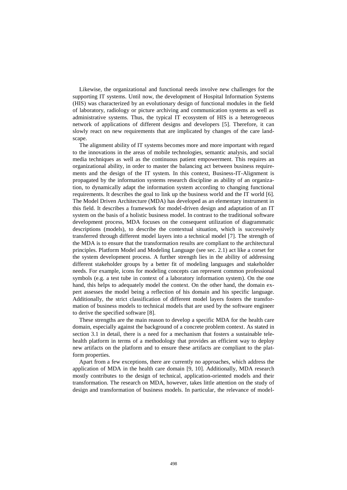Likewise, the organizational and functional needs involve new challenges for the supporting IT systems. Until now, the development of Hospital Information Systems (HIS) was characterized by an evolutionary design of functional modules in the field of laboratory, radiology or picture archiving and communication systems as well as administrative systems. Thus, the typical IT ecosystem of HIS is a heterogeneous network of applications of different designs and developers [5]. Therefore, it can slowly react on new requirements that are implicated by changes of the care landscape

The alignment ability of IT systems becomes more and more important with regard to the innovations in the areas of mobile technologies, semantic analysis, and social media techniques as well as the continuous patient empowerment. This requires an organizational ability, in order to master the balancing act between business requirements and the design of the IT system. In this context, Business-IT-Alignment is propagated by the information systems research discipline as ability of an organization, to dynamically adapt the information system according to changing functional requirements. It describes the goal to link up the business world and the IT world [6]. The Model Driven Architecture (MDA) has developed as an elementary instrument in this field. It describes a framework for model-driven design and adaptation of an IT system on the basis of a holistic business model. In contrast to the traditional software development process, MDA focuses on the consequent utilization of diagrammatic descriptions (models), to describe the contextual situation, which is successively transferred through different model layers into a technical model [7]. The strength of the MDA is to ensure that the transformation results are compliant to the architectural principles. Platform Model and Modeling Language (see sec. 2.1) act like a corset for the system development process. A further strength lies in the ability of addressing different stakeholder groups by a better fit of modeling languages and stakeholder needs. For example, icons for modeling concepts can represent common professional symbols (e.g. a test tube in context of a laboratory information system). On the one hand, this helps to adequately model the context. On the other hand, the domain expert assesses the model being a reflection of his domain and his specific language. Additionally, the strict classification of different model layers fosters the transformation of business models to technical models that are used by the software engineer to derive the specified software [8].

These strengths are the main reason to develop a specific MDA for the health care domain, especially against the background of a concrete problem context. As stated in section [3.1](#page-4-0) in detail, there is a need for a mechanism that fosters a sustainable telehealth platform in terms of a methodology that provides an efficient way to deploy new artifacts on the platform and to ensure these artifacts are compliant to the platform properties.

Apart from a few exceptions, there are currently no approaches, which address the application of MDA in the health care domain [9, 10]. Additionally, MDA research mostly contributes to the design of technical, application-oriented models and their transformation. The research on MDA, however, takes little attention on the study of design and transformation of business models. In particular, the relevance of model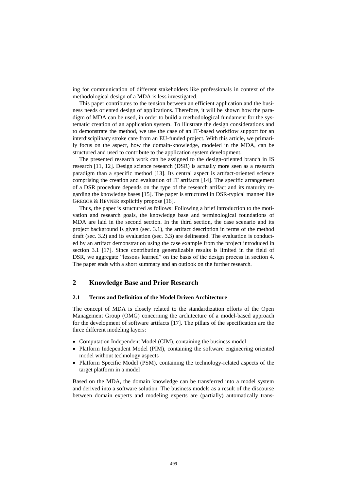ing for communication of different stakeholders like professionals in context of the methodological design of a MDA is less investigated.

This paper contributes to the tension between an efficient application and the business needs oriented design of applications. Therefore, it will be shown how the paradigm of MDA can be used, in order to build a methodological fundament for the systematic creation of an application system. To illustrate the design considerations and to demonstrate the method, we use the case of an IT-based workflow support for an interdisciplinary stroke care from an EU-funded project. With this article, we primarily focus on the aspect, how the domain-knowledge, modeled in the MDA, can be structured and used to contribute to the application system development.

The presented research work can be assigned to the design-oriented branch in IS research [11, 12]. Design science research (DSR) is actually more seen as a research paradigm than a specific method [13]. Its central aspect is artifact-oriented science comprising the creation and evaluation of IT artifacts [14]. The specific arrangement of a DSR procedure depends on the type of the research artifact and its maturity regarding the knowledge bases [15]. The paper is structured in DSR-typical manner like GREGOR & HEVNER explicitly propose [16].

Thus, the paper is structured as follows: Following a brief introduction to the motivation and research goals, the knowledge base and terminological foundations of MDA are laid in the second section. In the third section, the case scenario and its project background is given (sec. [3.1\)](#page-4-0), the artifact description in terms of the method draft (sec. [3.2\)](#page-6-0) and its evaluation (sec. [3.3\)](#page-8-0) are delineated. The evaluation is conducted by an artifact demonstration using the case example from the project introduced in section [3.1](#page-4-0) [17]. Since contributing generalizable results is limited in the field of DSR, we aggregate "lessons learned" on the basis of the design process in section [4.](#page-12-0) The paper ends with a short summary and an outlook on the further research.

## **2 Knowledge Base and Prior Research**

## **2.1 Terms and Definition of the Model Driven Architecture**

The concept of MDA is closely related to the standardization efforts of the Open Management Group (OMG) concerning the architecture of a model-based approach for the development of software artifacts [17]. The pillars of the specification are the three different modeling layers:

- Computation Independent Model (CIM), containing the business model
- Platform Independent Model (PIM), containing the software engineering oriented model without technology aspects
- Platform Specific Model (PSM), containing the technology-related aspects of the target platform in a model

Based on the MDA, the domain knowledge can be transferred into a model system and derived into a software solution. The business models as a result of the discourse between domain experts and modeling experts are (partially) automatically trans-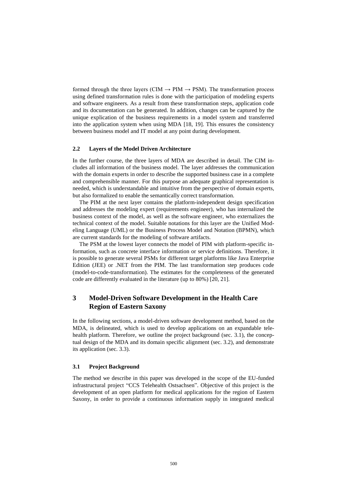formed through the three layers (CIM  $\rightarrow$  PIM  $\rightarrow$  PSM). The transformation process using defined transformation rules is done with the participation of modeling experts and software engineers. As a result from these transformation steps, application code and its documentation can be generated. In addition, changes can be captured by the unique explication of the business requirements in a model system and transferred into the application system when using MDA [18, 19]. This ensures the consistency between business model and IT model at any point during development.

## **2.2 Layers of the Model Driven Architecture**

In the further course, the three layers of MDA are described in detail. The CIM includes all information of the business model. The layer addresses the communication with the domain experts in order to describe the supported business case in a complete and comprehensible manner. For this purpose an adequate graphical representation is needed, which is understandable and intuitive from the perspective of domain experts, but also formalized to enable the semantically correct transformation.

The PIM at the next layer contains the platform-independent design specification and addresses the modeling expert (requirements engineer), who has internalized the business context of the model, as well as the software engineer, who externalizes the technical context of the model. Suitable notations for this layer are the Unified Modeling Language (UML) or the Business Process Model and Notation (BPMN), which are current standards for the modeling of software artifacts.

The PSM at the lowest layer connects the model of PIM with platform-specific information, such as concrete interface information or service definitions. Therefore, it is possible to generate several PSMs for different target platforms like Java Enterprise Edition (JEE) or .NET from the PIM. The last transformation step produces code (model-to-code-transformation). The estimates for the completeness of the generated code are differently evaluated in the literature (up to 80%) [20, 21].

## **3 Model-Driven Software Development in the Health Care Region of Eastern Saxony**

In the following sections, a model-driven software development method, based on the MDA, is delineated, which is used to develop applications on an expandable tele-health platform. Therefore, we outline the project background (sec. [3.1\)](#page-4-0), the conceptual design of the MDA and its domain specific alignment (sec. [3.2\)](#page-6-0), and demonstrate its application (sec. [3.3\)](#page-8-0).

## <span id="page-4-0"></span>**3.1 Project Background**

The method we describe in this paper was developed in the scope of the EU-funded infrastructural project "CCS Telehealth Ostsachsen". Objective of this project is the development of an open platform for medical applications for the region of Eastern Saxony, in order to provide a continuous information supply in integrated medical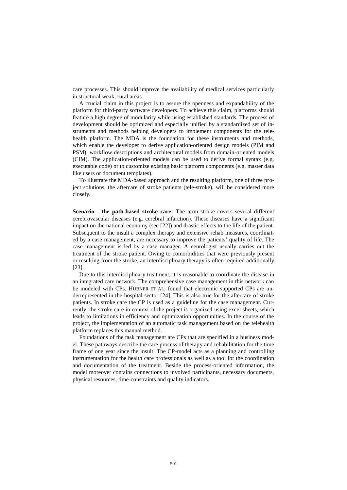care processes. This should improve the availability of medical services particularly in structural weak, rural areas.

A crucial claim in this project is to assure the openness and expandability of the platform for third-party software developers. To achieve this claim, platforms should feature a high degree of modularity while using established standards. The process of development should be optimized and especially unified by a standardized set of instruments and methods helping developers to implement components for the telehealth platform. The MDA is the foundation for these instruments and methods, which enable the developer to derive application-oriented design models (PIM and PSM), workflow descriptions and architectural models from domain-oriented models (CIM). The application-oriented models can be used to derive formal syntax (e.g. executable code) or to customize existing basic platform components (e.g. master data like users or document templates).

To illustrate the MDA-based approach and the resulting platform, one of three project solutions, the aftercare of stroke patients (tele-stroke), will be considered more closely.

**Scenario - the path-based stroke care:** The term stroke covers several different cerebrovascular diseases (e.g. cerebral infarction). These diseases have a significant impact on the national economy (see [22]) and drastic effects to the life of the patient. Subsequent to the insult a complex therapy and extensive rehab measures, coordinated by a case management, are necessary to improve the patients' quality of life. The case management is led by a case manager. A neurologist usually carries out the treatment of the stroke patient. Owing to comorbidities that were previously present or resulting from the stroke, an interdisciplinary therapy is often required additionally [23].

Due to this interdisciplinary treatment, it is reasonable to coordinate the disease in an integrated care network. The comprehensive case management in this network can be modeled with CPs. HÜBNER ET AL. found that electronic supported CPs are underrepresented in the hospital sector [24]. This is also true for the aftercare of stroke patients. In stroke care the CP is used as a guideline for the case management. Currently, the stroke care in context of the project is organized using excel sheets, which leads to limitations in efficiency and optimization opportunities. In the course of the project, the implementation of an automatic task management based on the telehealth platform replaces this manual method.

Foundations of the task management are CPs that are specified in a business model. These pathways describe the care process of therapy and rehabilitation for the time frame of one year since the insult. The CP-model acts as a planning and controlling instrumentation for the health care professionals as well as a tool for the coordination and documentation of the treatment. Beside the process-oriented information, the model moreover contains connections to involved participants, necessary documents, physical resources, time-constraints and quality indicators.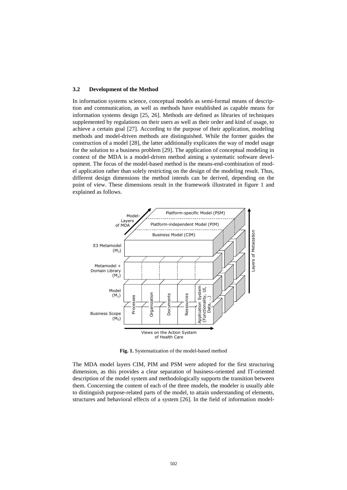### <span id="page-6-0"></span>**3.2 Development of the Method**

In information systems science, conceptual models as semi-formal means of description and communication, as well as methods have established as capable means for information systems design [25, 26]. Methods are defined as libraries of techniques supplemented by regulations on their users as well as their order and kind of usage, to achieve a certain goal [27]. According to the purpose of their application, modeling methods and model-driven methods are distinguished. While the former guides the construction of a model [28], the latter additionally explicates the way of model usage for the solution to a business problem [29]. The application of conceptual modeling in context of the MDA is a model-driven method aiming a systematic software development. The focus of the model-based method is the means-end-combination of model application rather than solely restricting on the design of the modeling result. Thus, different design dimensions the method intends can be derived, depending on the point of view. These dimensions result in the framework illustrated in figure 1 and explained as follows.



**Fig. 1.** Systematization of the model-based method

The MDA model layers CIM, PIM and PSM were adopted for the first structuring dimension, as this provides a clear separation of business-oriented and IT-oriented description of the model system and methodologically supports the transition between them. Concerning the content of each of the three models, the modeler is usually able to distinguish purpose-related parts of the model, to attain understanding of elements, structures and behavioral effects of a system [26]. In the field of information model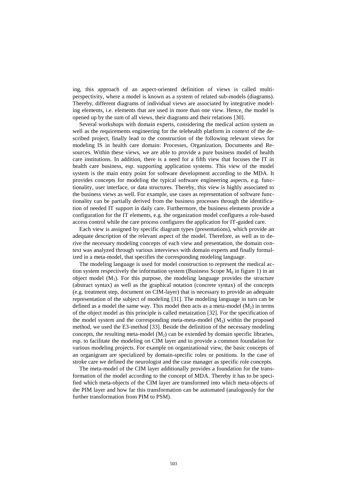ing, this approach of an aspect-oriented definition of views is called multiperspectivity, where a model is known as a system of related sub-models (diagrams). Thereby, different diagrams of individual views are associated by integrative modeling elements, i.e. elements that are used in more than one view. Hence, the model is opened up by the sum of all views, their diagrams and their relations [30].

Several workshops with domain experts, considering the medical action system as well as the requirements engineering for the telehealth platform in context of the described project, finally lead to the construction of the following relevant views for modeling IS in health care domain: Processes, Organization, Documents and Resources. Within these views, we are able to provide a pure business model of health care institutions. In addition, there is a need for a fifth view that focuses the IT in health care business, esp. supporting application systems. This view of the model system is the main entry point for software development according to the MDA. It provides concepts for modeling the typical software engineering aspects, e.g. functionality, user interface, or data structures. Thereby, this view is highly associated to the business views as well. For example, use cases as representation of software functionality can be partially derived from the business processes through the identification of needed IT support in daily care. Furthermore, the business elements provide a configuration for the IT elements, e.g. the organization model configures a role-based access control while the care process configures the application for IT-guided care.

Each view is assigned by specific diagram types (presentations), which provide an adequate description of the relevant aspect of the model. Therefore, as well as to derive the necessary modeling concepts of each view and presentation, the domain context was analyzed through various interviews with domain experts and finally formalized in a meta-model, that specifies the corresponding modeling language.

The modeling language is used for model construction to represent the medical action system respectively the information system (Business Scope  $M_0$  in figure 1) in an object model  $(M_1)$ . For this purpose, the modeling language provides the structure (abstract syntax) as well as the graphical notation (concrete syntax) of the concepts (e.g. treatment step, document on CIM-layer) that is necessary to provide an adequate representation of the subject of modeling [31]. The modeling language in turn can be defined as a model the same way. This model then acts as a meta-model  $(M_2)$  in terms of the object model as this principle is called metaization [32]. For the specification of the model system and the corresponding meta-meta-model  $(M_3)$  within the proposed method, we used the E3-method [33]. Beside the definition of the necessary modeling concepts, the resulting meta-model  $(M_2)$  can be extended by domain specific libraries, esp. to facilitate the modeling on CIM layer and to provide a common foundation for various modeling projects. For example on organizational view, the basic concepts of an organigram are specialized by domain-specific roles or positions. In the case of stroke care we defined the neurologist and the case manager as specific role concepts.

The meta-model of the CIM layer additionally provides a foundation for the transformation of the model according to the concept of MDA. Thereby it has to be specified which meta-objects of the CIM layer are transformed into which meta-objects of the PIM layer and how far this transformation can be automated (analogously for the further transformation from PIM to PSM).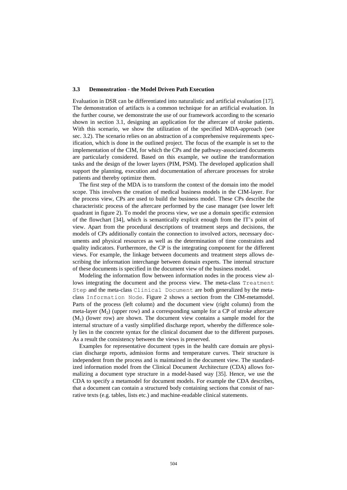### <span id="page-8-0"></span>**3.3 Demonstration - the Model Driven Path Execution**

Evaluation in DSR can be differentiated into naturalistic and artificial evaluation [17]. The demonstration of artifacts is a common technique for an artificial evaluation. In the further course, we demonstrate the use of our framework according to the scenario shown in section [3.1,](#page-4-0) designing an application for the aftercare of stroke patients. With this scenario, we show the utilization of the specified MDA-approach (see sec. [3.2\)](#page-6-0). The scenario relies on an abstraction of a comprehensive requirements specification, which is done in the outlined project. The focus of the example is set to the implementation of the CIM, for which the CPs and the pathway-associated documents are particularly considered. Based on this example, we outline the transformation tasks and the design of the lower layers (PIM, PSM). The developed application shall support the planning, execution and documentation of aftercare processes for stroke patients and thereby optimize them.

The first step of the MDA is to transform the context of the domain into the model scope. This involves the creation of medical business models in the CIM-layer. For the process view, CPs are used to build the business model. These CPs describe the characteristic process of the aftercare performed by the case manager (see lower left quadrant in figure 2). To model the process view, we use a domain specific extension of the flowchart [34], which is semantically explicit enough from the IT's point of view. Apart from the procedural descriptions of treatment steps and decisions, the models of CPs additionally contain the connection to involved actors, necessary documents and physical resources as well as the determination of time constraints and quality indicators. Furthermore, the CP is the integrating component for the different views. For example, the linkage between documents and treatment steps allows describing the information interchange between domain experts. The internal structure of these documents is specified in the document view of the business model.

Modeling the information flow between information nodes in the process view allows integrating the document and the process view. The meta-class Treatment Step and the meta-class Clinical Document are both generalized by the metaclass Information Node. Figure 2 shows a section from the CIM-metamodel. Parts of the process (left column) and the document view (right column) from the meta-layer  $(M_2)$  (upper row) and a corresponding sample for a CP of stroke aftercare  $(M<sub>1</sub>)$  (lower row) are shown. The document view contains a sample model for the internal structure of a vastly simplified discharge report, whereby the difference solely lies in the concrete syntax for the clinical document due to the different purposes. As a result the consistency between the views is preserved.

Examples for representative document types in the health care domain are physician discharge reports, admission forms and temperature curves. Their structure is independent from the process and is maintained in the document view. The standardized information model from the Clinical Document Architecture (CDA) allows formalizing a document type structure in a model-based way [35]. Hence, we use the CDA to specify a metamodel for document models. For example the CDA describes, that a document can contain a structured body containing sections that consist of narrative texts (e.g. tables, lists etc.) and machine-readable clinical statements.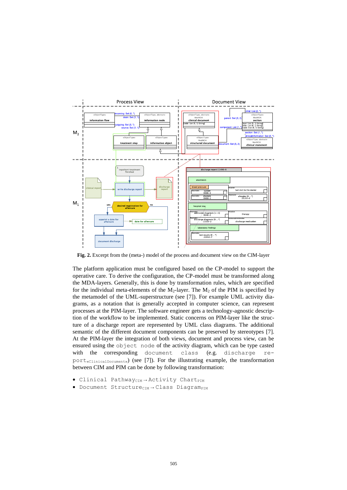

**Fig. 2.** Excerpt from the (meta-) model of the process and document view on the CIM-layer

The platform application must be configured based on the CP-model to support the operative care. To derive the configuration, the CP-model must be transformed along the MDA-layers. Generally, this is done by transformation rules, which are specified for the individual meta-elements of the  $M_2$ -layer. The  $M_2$  of the PIM is specified by the metamodel of the UML-superstructure (see [7]). For example UML activity diagrams, as a notation that is generally accepted in computer science, can represent processes at the PIM-layer. The software engineer gets a technology-agnostic description of the workflow to be implemented. Static concerns on PIM-layer like the structure of a discharge report are represented by UML class diagrams. The additional semantic of the different document components can be preserved by stereotypes [7]. At the PIM-layer the integration of both views, document and process view, can be ensured using the object node of the activity diagram, which can be type casted with the corresponding document class (e.g. discharge report«ClinicalDocument») (see [7]). For the illustrating example, the transformation between CIM and PIM can be done by following transformation:

- $\bullet$  Clinical Pathway<sub>CIM</sub>  $\rightarrow$  Activity Chart<sub>PIM</sub>
- Document Structure<sub>CIM</sub> → Class Diagram<sub>PIM</sub>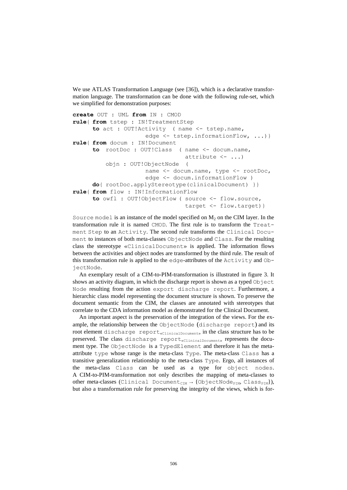We use ATLAS Transformation Language (see [36]), which is a declarative transformation language. The transformation can be done with the following rule-set, which we simplified for demonstration purposes:

```
create OUT : UML from IN : CMOD
rule{ from tstep : IN!TreatmentStep
      to act : OUT!Activity ( name <- tstep.name,
                      edge <- tstep.informationFlow, ...) }
rule{ from docum : IN!Document
      to rootDoc : OUT!Class ( name <- docum.name,
                                 attribute \langle - \dots \rangleobjn : OUT!ObjectNode (
                     name <- docum.name, type <- rootDoc,
                      edge <- docum.informationFlow )
      do{ rootDoc.applyStereotype(clinicalDocument) }}
rule{ from flow : IN!InformationFlow
      to owfl : OUT!ObjectFlow ( source <- flow.source,
                                  target <- flow.target)}
```
Source model is an instance of the model specified on  $M_2$  on the CIM layer. In the transformation rule it is named CMOD. The first rule is to transform the Treatment Step to an Activity. The second rule transforms the Clinical Document to instances of both meta-classes ObjectNode and Class. For the resulting class the stereotype «ClinicalDocument» is applied. The information flows between the activities and object nodes are transformed by the third rule. The result of this transformation rule is applied to the edge-attributes of the Activity and ObjectNode.

An exemplary result of a CIM-to-PIM-transformation is illustrated in figure 3. It shows an activity diagram, in which the discharge report is shown as a typed Object Node resulting from the action export discharge report. Furthermore, a hierarchic class model representing the document structure is shown. To preserve the document semantic from the CIM, the classes are annotated with stereotypes that correlate to the CDA information model as demonstrated for the Clinical Document.

An important aspect is the preservation of the integration of the views. For the example, the relationship between the ObjectNode (discharge report) and its root element discharge report<sub>«ClinicalDocument»</sub> in the class structure has to be preserved. The class discharge report<sub>«ClinicalDocument»</sub> represents the document type. The ObjectNode is a TypedElement and therefore it has the metaattribute type whose range is the meta-class Type. The meta-class Class has a transitive generalization relationship to the meta-class Type. Ergo, all instances of the meta-class Class can be used as a type for object nodes. A CIM-to-PIM-transformation not only describes the mapping of meta-classes to other meta-classes (Clinical Document<sub>CIM</sub>  $\rightarrow$  {ObjectNode<sub>PIM</sub>, Class<sub>PIM</sub>}), but also a transformation rule for preserving the integrity of the views, which is for-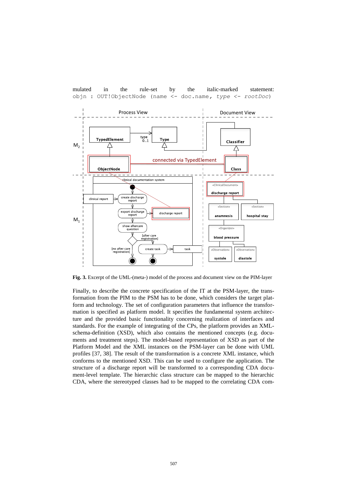

mulated in the rule-set by the italic-marked statement: objn : OUT!ObjectNode (name <- doc.name*, type <- rootDoc*)

**Fig. 3.** Excerpt of the UML-(meta-) model of the process and document view on the PIM-layer

Finally, to describe the concrete specification of the IT at the PSM-layer, the transformation from the PIM to the PSM has to be done, which considers the target platform and technology. The set of configuration parameters that influence the transformation is specified as platform model. It specifies the fundamental system architecture and the provided basic functionality concerning realization of interfaces and standards. For the example of integrating of the CPs, the platform provides an XMLschema-definition (XSD), which also contains the mentioned concepts (e.g. documents and treatment steps). The model-based representation of XSD as part of the Platform Model and the XML instances on the PSM-layer can be done with UML profiles [37, 38]. The result of the transformation is a concrete XML instance, which conforms to the mentioned XSD. This can be used to configure the application. The structure of a discharge report will be transformed to a corresponding CDA document-level template. The hierarchic class structure can be mapped to the hierarchic CDA, where the stereotyped classes had to be mapped to the correlating CDA com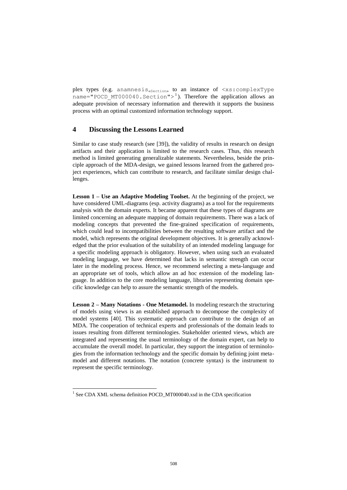plex types (e.g. anamnesis<sub>«Section»</sub> to an instance of  $\langle xs:complexType$ name="POCD MT000040.Section"> $^1$ ). Therefore the application allows an adequate provision of necessary information and therewith it supports the business process with an optimal customized information technology support.

## <span id="page-12-0"></span>**4 Discussing the Lessons Learned**

Similar to case study research (see [39]), the validity of results in research on design artifacts and their application is limited to the research cases. Thus, this research method is limited generating generalizable statements. Nevertheless, beside the principle approach of the MDA-design, we gained lessons learned from the gathered project experiences, which can contribute to research, and facilitate similar design challenges.

**Lesson 1 – Use an Adaptive Modeling Toolset.** At the beginning of the project, we have considered UML-diagrams (esp. activity diagrams) as a tool for the requirements analysis with the domain experts. It became apparent that these types of diagrams are limited concerning an adequate mapping of domain requirements. There was a lack of modeling concepts that prevented the fine-grained specification of requirements, which could lead to incompatibilities between the resulting software artifact and the model, which represents the original development objectives. It is generally acknowledged that the prior evaluation of the suitability of an intended modeling language for a specific modeling approach is obligatory. However, when using such an evaluated modeling language, we have determined that lacks in semantic strength can occur later in the modeling process. Hence, we recommend selecting a meta-language and an appropriate set of tools, which allow an ad hoc extension of the modeling language. In addition to the core modeling language, libraries representing domain specific knowledge can help to assure the semantic strength of the models.

**Lesson 2 – Many Notations - One Metamodel.** In modeling research the structuring of models using views is an established approach to decompose the complexity of model systems [40]. This systematic approach can contribute to the design of an MDA. The cooperation of technical experts and professionals of the domain leads to issues resulting from different terminologies. Stakeholder oriented views, which are integrated and representing the usual terminology of the domain expert, can help to accumulate the overall model. In particular, they support the integration of terminologies from the information technology and the specific domain by defining joint metamodel and different notations. The notation (concrete syntax) is the instrument to represent the specific terminology.

 $\overline{a}$ 

<sup>&</sup>lt;sup>1</sup> See CDA XML schema definition POCD\_MT000040.xsd in the CDA specification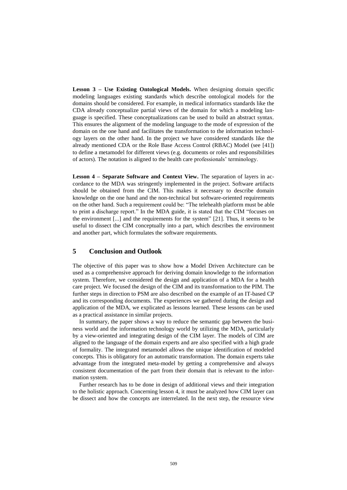**Lesson 3 – Use Existing Ontological Models.** When designing domain specific modeling languages existing standards which describe ontological models for the domains should be considered. For example, in medical informatics standards like the CDA already conceptualize partial views of the domain for which a modeling language is specified. These conceptualizations can be used to build an abstract syntax. This ensures the alignment of the modeling language to the mode of expression of the domain on the one hand and facilitates the transformation to the information technology layers on the other hand. In the project we have considered standards like the already mentioned CDA or the Role Base Access Control (RBAC) Model (see [41]) to define a metamodel for different views (e.g. documents or roles and responsibilities of actors). The notation is aligned to the health care professionals' terminology.

**Lesson 4 – Separate Software and Context View.** The separation of layers in accordance to the MDA was stringently implemented in the project. Software artifacts should be obtained from the CIM. This makes it necessary to describe domain knowledge on the one hand and the non-technical but software-oriented requirements on the other hand. Such a requirement could be: "The telehealth platform must be able to print a discharge report." In the MDA guide, it is stated that the CIM "focuses on the environment [...] and the requirements for the system" [21]. Thus, it seems to be useful to dissect the CIM conceptually into a part, which describes the environment and another part, which formulates the software requirements.

## **5 Conclusion and Outlook**

The objective of this paper was to show how a Model Driven Architecture can be used as a comprehensive approach for deriving domain knowledge to the information system. Therefore, we considered the design and application of a MDA for a health care project. We focused the design of the CIM and its transformation to the PIM. The further steps in direction to PSM are also described on the example of an IT-based CP and its corresponding documents. The experiences we gathered during the design and application of the MDA, we explicated as lessons learned. These lessons can be used as a practical assistance in similar projects.

In summary, the paper shows a way to reduce the semantic gap between the business world and the information technology world by utilizing the MDA, particularly by a view-oriented and integrating design of the CIM layer. The models of CIM are aligned to the language of the domain experts and are also specified with a high grade of formality. The integrated metamodel allows the unique identification of modeled concepts. This is obligatory for an automatic transformation. The domain experts take advantage from the integrated meta-model by getting a comprehensive and always consistent documentation of the part from their domain that is relevant to the information system.

Further research has to be done in design of additional views and their integration to the holistic approach. Concerning lesson 4, it must be analyzed how CIM layer can be dissect and how the concepts are interrelated. In the next step, the resource view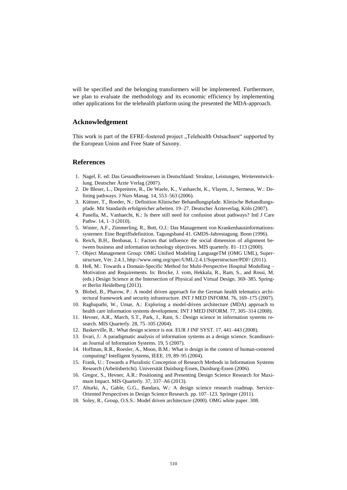will be specified and the belonging transformers will be implemented. Furthermore, we plan to evaluate the methodology and its economic efficiency by implementing other applications for the telehealth platform using the presented the MDA-approach.

## **Acknowledgement**

This work is part of the EFRE-fostered project "Telehealth Ostsachsen" supported by the European Union and Free State of Saxony.

## **References**

- 1. Nagel, E. ed: Das Gesundheitswesen in Deutschland: Struktur, Leistungen, Weiterentwicklung. Deutscher Ärzte Verlag (2007).
- 2. De Bleser, L., Depreitere, R., De Waele, K., Vanhaecht, K., Vlayen, J., Sermeus, W.: Defining pathways. J Nurs Manag. 14, 553–563 (2006).
- 3. Küttner, T., Roeder, N.: Definition Klinischer Behandlungspfade. Klinische Behandlungspfade. Mit Standards erfolgreicher arbeiten. 19–27. Deutscher Ärzteverlag, Köln (2007).
- 4. Panella, M., Vanhaecht, K.: Is there still need for confusion about pathways? Intl J Care Pathw. 14, 1–3 (2010).
- 5. Winter, A.F., Zimmerling, R., Bott, O.J.: Das Management von Krankenhausinformationssystemen: Eine Begriffsdefinition. Tagungsband 41. GMDS-Jahrestagung. Bonn (1996).
- 6. Reich, B.H., Benbasat, I.: Factors that influence the social dimension of alignment between business and information technology objectives. MIS quarterly. 81–113 (2000).
- 7. Object Management Group: OMG Unified Modeling LanguageTM (OMG UML), Superstructure, Ver. 2.4.1, http://www.omg.org/spec/UML/2.4.1/Superstructure/PDF/ (2011).
- 8. Heß, M.: Towards a Domain-Specific Method for Multi-Perspective Hospital Modelling Motivation and Requirements. In: Brocke, J. vom, Hekkala, R., Ram, S., and Rossi, M. (eds.) Design Science at the Intersection of Physical and Virtual Design. 369–385. Springer Berlin Heidelberg (2013).
- 9. Blobel, B., Pharow, P.: A model driven approach for the German health telematics architectural framework and security infrastructure. INT J MED INFORM. 76, 169–175 (2007).
- 10. Raghupathi, W., Umar, A.: Exploring a model-driven architecture (MDA) approach to health care information systems development. INT J MED INFORM. 77, 305–314 (2008).
- 11. Hevner, A.R., March, S.T., Park, J., Ram, S.: Design science in information systems research. MIS Quarterly. 28, 75–105 (2004).
- 12. Baskerville, R.: What design science is not. EUR J INF SYST. 17, 441–443 (2008).
- 13. Iivari, J.: A paradigmatic analysis of information systems as a design science. Scandinavian Journal of Information Systems. 19, 5 (2007).
- 14. Hoffman, R.R., Roesler, A., Moon, B.M.: What is design in the context of human-centered computing? Intelligent Systems, IEEE. 19, 89–95 (2004).
- 15. Frank, U.: Towards a Pluralistic Conception of Research Methods in Information Systems Research (Arbeitsbericht). Universität Duisburg-Essen, Duisburg-Essen (2006).
- 16. Gregor, S., Hevner, A.R.: Positioning and Presenting Design Science Research for Maximum Impact. MIS Quarterly. 37, 337–A6 (2013).
- 17. Alturki, A., Gable, G.G., Bandara, W.: A design science research roadmap. Service-Oriented Perspectives in Design Science Research. pp. 107–123. Springer (2011).
- 18. Soley, R., Group, O.S.S.: Model driven architecture (2000). OMG white paper. 308.